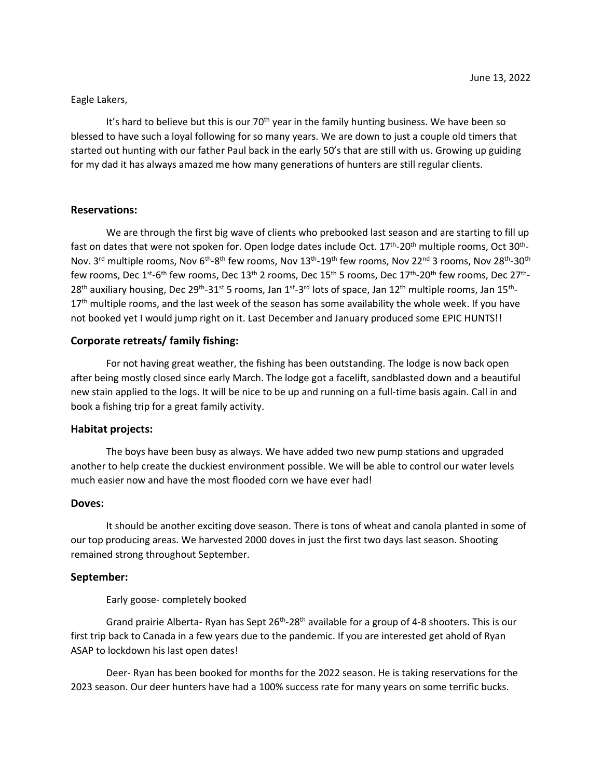### Eagle Lakers,

It's hard to believe but this is our 70<sup>th</sup> year in the family hunting business. We have been so blessed to have such a loyal following for so many years. We are down to just a couple old timers that started out hunting with our father Paul back in the early 50's that are still with us. Growing up guiding for my dad it has always amazed me how many generations of hunters are still regular clients.

### **Reservations:**

We are through the first big wave of clients who prebooked last season and are starting to fill up fast on dates that were not spoken for. Open lodge dates include Oct. 17<sup>th</sup>-20<sup>th</sup> multiple rooms, Oct 30<sup>th</sup>-Nov. 3<sup>rd</sup> multiple rooms, Nov 6<sup>th</sup>-8<sup>th</sup> few rooms, Nov 13<sup>th</sup>-19<sup>th</sup> few rooms, Nov 22<sup>nd</sup> 3 rooms, Nov 28<sup>th</sup>-30<sup>th</sup> few rooms, Dec 1st-6<sup>th</sup> few rooms, Dec 13<sup>th</sup> 2 rooms, Dec 15<sup>th</sup> 5 rooms, Dec 17<sup>th</sup>-20<sup>th</sup> few rooms, Dec 27<sup>th</sup>-28<sup>th</sup> auxiliary housing, Dec 29<sup>th</sup>-31<sup>st</sup> 5 rooms, Jan 1<sup>st</sup>-3<sup>rd</sup> lots of space, Jan 12<sup>th</sup> multiple rooms, Jan 15<sup>th</sup>-17<sup>th</sup> multiple rooms, and the last week of the season has some availability the whole week. If you have not booked yet I would jump right on it. Last December and January produced some EPIC HUNTS!!

# **Corporate retreats/ family fishing:**

For not having great weather, the fishing has been outstanding. The lodge is now back open after being mostly closed since early March. The lodge got a facelift, sandblasted down and a beautiful new stain applied to the logs. It will be nice to be up and running on a full-time basis again. Call in and book a fishing trip for a great family activity.

# **Habitat projects:**

The boys have been busy as always. We have added two new pump stations and upgraded another to help create the duckiest environment possible. We will be able to control our water levels much easier now and have the most flooded corn we have ever had!

#### **Doves:**

It should be another exciting dove season. There is tons of wheat and canola planted in some of our top producing areas. We harvested 2000 doves in just the first two days last season. Shooting remained strong throughout September.

# **September:**

Early goose- completely booked

Grand prairie Alberta- Ryan has Sept 26<sup>th</sup>-28<sup>th</sup> available for a group of 4-8 shooters. This is our first trip back to Canada in a few years due to the pandemic. If you are interested get ahold of Ryan ASAP to lockdown his last open dates!

Deer- Ryan has been booked for months for the 2022 season. He is taking reservations for the 2023 season. Our deer hunters have had a 100% success rate for many years on some terrific bucks.